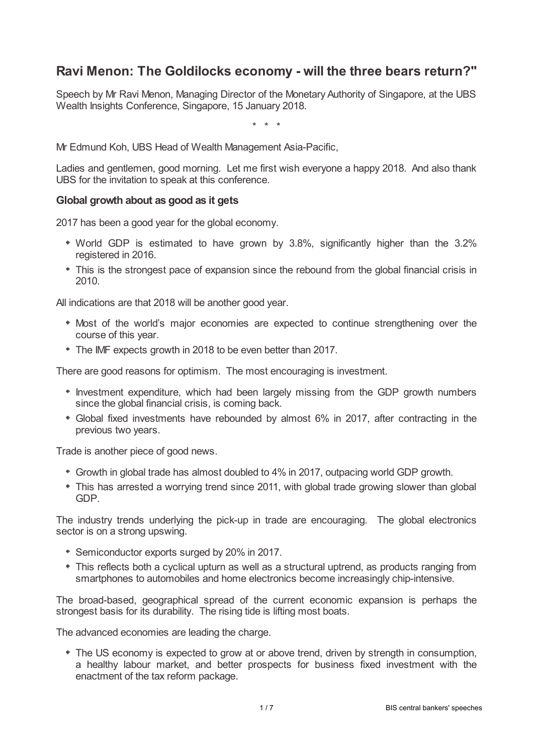# **Ravi Menon: The Goldilocks economy - will the three bears return?"**

Speech by Mr Ravi Menon, Managing Director of the Monetary Authority of Singapore, at the UBS Wealth Insights Conference, Singapore, 15 January 2018.

\* \* \*

Mr Edmund Koh, UBS Head of Wealth Management Asia-Pacific,

Ladies and gentlemen, good morning. Let me first wish everyone a happy 2018. And also thank UBS for the invitation to speak at this conference.

# **Global growth about as good as it gets**

2017 has been a good year for the global economy.

- World GDP is estimated to have grown by 3.8%, significantly higher than the 3.2% registered in 2016.
- This is the strongest pace of expansion since the rebound from the global financial crisis in 2010.

All indications are that 2018 will be another good year.

- Most of the world's major economies are expected to continue strengthening over the course of this year.
- The IMF expects growth in 2018 to be even better than 2017.

There are good reasons for optimism. The most encouraging is investment.

- Investment expenditure, which had been largely missing from the GDP growth numbers since the global financial crisis, is coming back.
- Global fixed investments have rebounded by almost 6% in 2017, after contracting in the previous two years.

Trade is another piece of good news.

- Growth in global trade has almost doubled to 4% in 2017, outpacing world GDP growth.
- This has arrested a worrying trend since 2011, with global trade growing slower than global GDP.

The industry trends underlying the pick-up in trade are encouraging. The global electronics sector is on a strong upswing.

- Semiconductor exports surged by 20% in 2017.
- This reflects both a cyclical upturn as well as a structural uptrend, as products ranging from smartphones to automobiles and home electronics become increasingly chip-intensive.

The broad-based, geographical spread of the current economic expansion is perhaps the strongest basis for its durability. The rising tide is lifting most boats.

The advanced economies are leading the charge.

The US economy is expected to grow at or above trend, driven by strength in consumption, a healthy labour market, and better prospects for business fixed investment with the enactment of the tax reform package.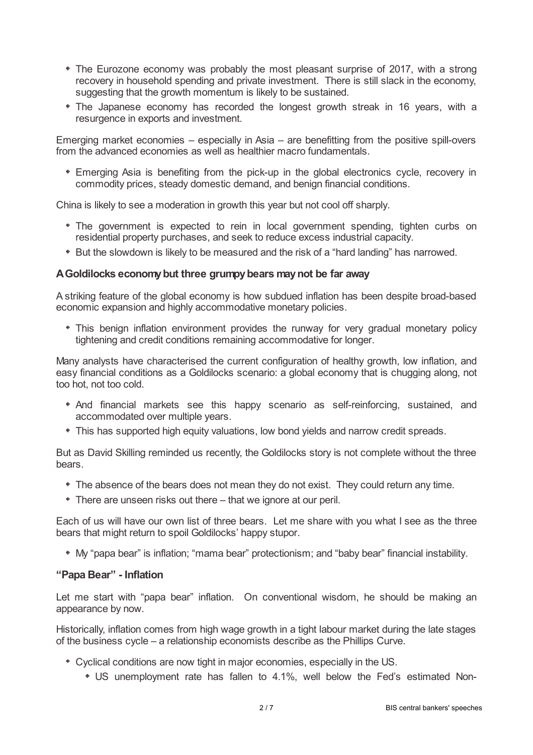- The Eurozone economy was probably the most pleasant surprise of 2017, with a strong recovery in household spending and private investment. There is still slack in the economy, suggesting that the growth momentum is likely to be sustained.
- The Japanese economy has recorded the longest growth streak in 16 years, with a resurgence in exports and investment.

Emerging market economies – especially in Asia – are benefitting from the positive spill-overs from the advanced economies as well as healthier macro fundamentals.

Emerging Asia is benefiting from the pick-up in the global electronics cycle, recovery in commodity prices, steady domestic demand, and benign financial conditions.

China is likely to see a moderation in growth this year but not cool off sharply.

- The government is expected to rein in local government spending, tighten curbs on residential property purchases, and seek to reduce excess industrial capacity.
- But the slowdown is likely to be measured and the risk of a "hard landing" has narrowed.

#### **AGoldilocks economybut three grumpybears maynot be far away**

A striking feature of the global economy is how subdued inflation has been despite broad-based economic expansion and highly accommodative monetary policies.

This benign inflation environment provides the runway for very gradual monetary policy tightening and credit conditions remaining accommodative for longer.

Many analysts have characterised the current configuration of healthy growth, low inflation, and easy financial conditions as a Goldilocks scenario: a global economy that is chugging along, not too hot, not too cold.

- And financial markets see this happy scenario as self-reinforcing, sustained, and accommodated over multiple years.
- This has supported high equity valuations, low bond yields and narrow credit spreads.

But as David Skilling reminded us recently, the Goldilocks story is not complete without the three bears.

- The absence of the bears does not mean they do not exist. They could return any time.
- There are unseen risks out there that we ignore at our peril.

Each of us will have our own list of three bears. Let me share with you what I see as the three bears that might return to spoil Goldilocks' happy stupor.

My "papa bear" is inflation; "mama bear" protectionism; and "baby bear" financial instability.

#### **"Papa Bear" - Inflation**

Let me start with "papa bear" inflation. On conventional wisdom, he should be making an appearance by now.

Historically, inflation comes from high wage growth in a tight labour market during the late stages of the business cycle – a relationship economists describe as the Phillips Curve.

- Cyclical conditions are now tight in major economies, especially in the US.
	- US unemployment rate has fallen to 4.1%, well below the Fed's estimated Non-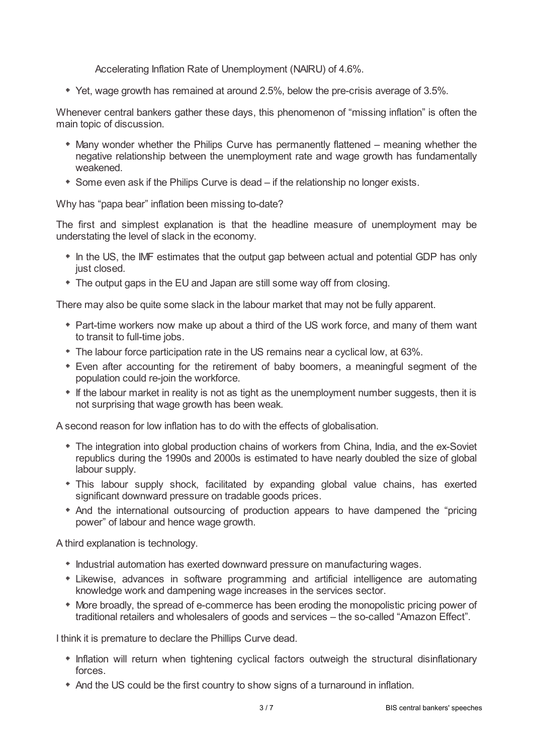Accelerating Inflation Rate of Unemployment (NAIRU) of 4.6%.

Yet, wage growth has remained at around 2.5%, below the pre-crisis average of 3.5%.

Whenever central bankers gather these days, this phenomenon of "missing inflation" is often the main topic of discussion.

- Many wonder whether the Philips Curve has permanently flattened meaning whether the negative relationship between the unemployment rate and wage growth has fundamentally weakened.
- Some even ask if the Philips Curve is dead if the relationship no longer exists.

Why has "papa bear" inflation been missing to-date?

The first and simplest explanation is that the headline measure of unemployment may be understating the level of slack in the economy.

- In the US, the IMF estimates that the output gap between actual and potential GDP has only just closed.
- The output gaps in the EU and Japan are still some way off from closing.

There may also be quite some slack in the labour market that may not be fully apparent.

- Part-time workers now make up about a third of the US work force, and many of them want to transit to full-time jobs.
- The labour force participation rate in the US remains near a cyclical low, at 63%.
- Even after accounting for the retirement of baby boomers, a meaningful segment of the population could re-join the workforce.
- If the labour market in reality is not as tight as the unemployment number suggests, then it is not surprising that wage growth has been weak.

A second reason for low inflation has to do with the effects of globalisation.

- The integration into global production chains of workers from China, India, and the ex-Soviet republics during the 1990s and 2000s is estimated to have nearly doubled the size of global labour supply.
- This labour supply shock, facilitated by expanding global value chains, has exerted significant downward pressure on tradable goods prices.
- And the international outsourcing of production appears to have dampened the "pricing power" of labour and hence wage growth.

A third explanation is technology.

- $*$  Industrial automation has exerted downward pressure on manufacturing wages.
- Likewise, advances in software programming and artificial intelligence are automating knowledge work and dampening wage increases in the services sector.
- More broadly, the spread of e-commerce has been eroding the monopolistic pricing power of traditional retailers and wholesalers of goods and services – the so-called "Amazon Effect".

I think it is premature to declare the Phillips Curve dead.

- \* Inflation will return when tightening cyclical factors outweigh the structural disinflationary forces.
- And the US could be the first country to show signs of a turnaround in inflation.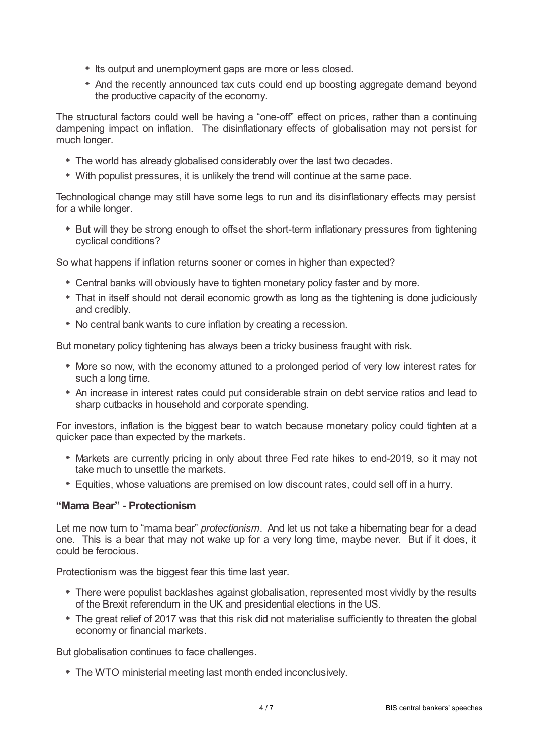- $*$  Its output and unemployment gaps are more or less closed.
- And the recently announced tax cuts could end up boosting aggregate demand beyond the productive capacity of the economy.

The structural factors could well be having a "one-off" effect on prices, rather than a continuing dampening impact on inflation. The disinflationary effects of globalisation may not persist for much longer.

- The world has already globalised considerably over the last two decades.
- With populist pressures, it is unlikely the trend will continue at the same pace.

Technological change may still have some legs to run and its disinflationary effects may persist for a while longer.

\* But will they be strong enough to offset the short-term inflationary pressures from tightening cyclical conditions?

So what happens if inflation returns sooner or comes in higher than expected?

- Central banks will obviously have to tighten monetary policy faster and by more.
- That in itself should not derail economic growth as long as the tightening is done judiciously and credibly.
- No central bank wants to cure inflation by creating a recession.

But monetary policy tightening has always been a tricky business fraught with risk.

- More so now, with the economy attuned to a prolonged period of very low interest rates for such a long time.
- An increase in interest rates could put considerable strain on debt service ratios and lead to sharp cutbacks in household and corporate spending.

For investors, inflation is the biggest bear to watch because monetary policy could tighten at a quicker pace than expected by the markets.

- Markets are currently pricing in only about three Fed rate hikes to end-2019, so it may not take much to unsettle the markets.
- Equities, whose valuations are premised on low discount rates, could sell off in a hurry.

# **"Mama Bear" - Protectionism**

Let me now turn to "mama bear" *protectionism*. And let us not take a hibernating bear for a dead one. This is a bear that may not wake up for a very long time, maybe never. But if it does, it could be ferocious.

Protectionism was the biggest fear this time last year.

- There were populist backlashes against globalisation, represented most vividly by the results of the Brexit referendum in the UK and presidential elections in the US.
- The great relief of 2017 was that this risk did not materialise sufficiently to threaten the global economy or financial markets.

But globalisation continues to face challenges.

The WTO ministerial meeting last month ended inconclusively.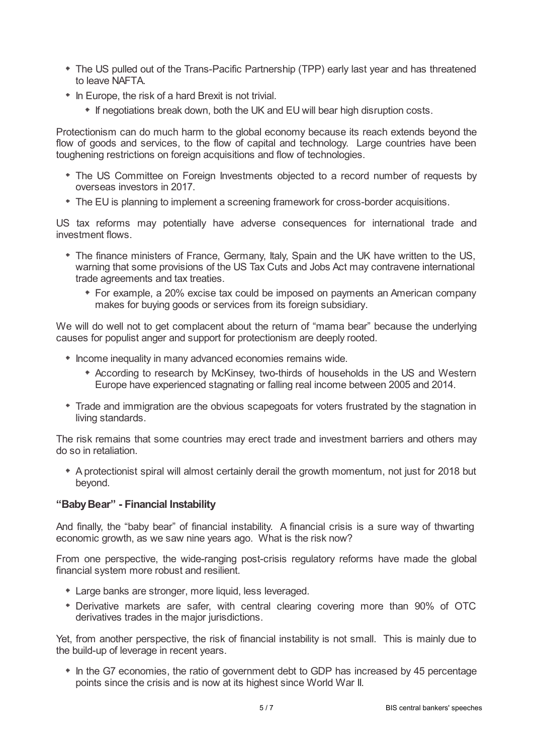- The US pulled out of the Trans-Pacific Partnership (TPP) early last year and has threatened to leave NAFTA.
- In Europe, the risk of a hard Brexit is not trivial.
	- If negotiations break down, both the UK and EU will bear high disruption costs.

Protectionism can do much harm to the global economy because its reach extends beyond the flow of goods and services, to the flow of capital and technology. Large countries have been toughening restrictions on foreign acquisitions and flow of technologies.

- The US Committee on Foreign Investments objected to a record number of requests by overseas investors in 2017.
- The EU is planning to implement a screening framework for cross-border acquisitions.

US tax reforms may potentially have adverse consequences for international trade and investment flows.

- The finance ministers of France, Germany, Italy, Spain and the UK have written to the US, warning that some provisions of the US Tax Cuts and Jobs Act may contravene international trade agreements and tax treaties.
	- For example, a 20% excise tax could be imposed on payments an American company makes for buying goods or services from its foreign subsidiary.

We will do well not to get complacent about the return of "mama bear" because the underlying causes for populist anger and support for protectionism are deeply rooted.

- $*$  Income inequality in many advanced economies remains wide.
	- According to research by McKinsey, two-thirds of households in the US and Western Europe have experienced stagnating or falling real income between 2005 and 2014.
- Trade and immigration are the obvious scapegoats for voters frustrated by the stagnation in living standards.

The risk remains that some countries may erect trade and investment barriers and others may do so in retaliation.

A protectionist spiral will almost certainly derail the growth momentum, not just for 2018 but beyond.

## **"BabyBear" - Financial Instability**

And finally, the "baby bear" of financial instability. A financial crisis is a sure way of thwarting economic growth, as we saw nine years ago. What is the risk now?

From one perspective, the wide-ranging post-crisis regulatory reforms have made the global financial system more robust and resilient.

- Large banks are stronger, more liquid, less leveraged.
- Derivative markets are safer, with central clearing covering more than 90% of OTC derivatives trades in the major jurisdictions.

Yet, from another perspective, the risk of financial instability is not small. This is mainly due to the build-up of leverage in recent years.

\* In the G7 economies, the ratio of government debt to GDP has increased by 45 percentage points since the crisis and is now at its highest since World War II.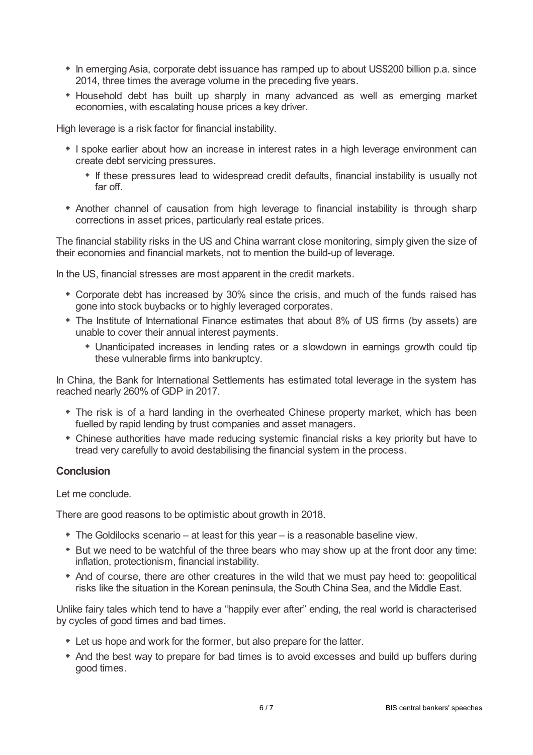- In emerging Asia, corporate debt issuance has ramped up to about US\$200 billion p.a. since 2014, three times the average volume in the preceding five years.
- Household debt has built up sharply in many advanced as well as emerging market economies, with escalating house prices a key driver.

High leverage is a risk factor for financial instability.

- \* I spoke earlier about how an increase in interest rates in a high leverage environment can create debt servicing pressures.
	- If these pressures lead to widespread credit defaults, financial instability is usually not far off.
- Another channel of causation from high leverage to financial instability is through sharp corrections in asset prices, particularly real estate prices.

The financial stability risks in the US and China warrant close monitoring, simply given the size of their economies and financial markets, not to mention the build-up of leverage.

In the US, financial stresses are most apparent in the credit markets.

- Corporate debt has increased by 30% since the crisis, and much of the funds raised has gone into stock buybacks or to highly leveraged corporates.
- The Institute of International Finance estimates that about 8% of US firms (by assets) are unable to cover their annual interest payments.
	- Unanticipated increases in lending rates or a slowdown in earnings growth could tip these vulnerable firms into bankruptcy.

In China, the Bank for International Settlements has estimated total leverage in the system has reached nearly 260% of GDP in 2017.

- The risk is of a hard landing in the overheated Chinese property market, which has been fuelled by rapid lending by trust companies and asset managers.
- Chinese authorities have made reducing systemic financial risks a key priority but have to tread very carefully to avoid destabilising the financial system in the process.

## **Conclusion**

Let me conclude.

There are good reasons to be optimistic about growth in 2018.

- The Goldilocks scenario at least for this year is a reasonable baseline view.
- But we need to be watchful of the three bears who may show up at the front door any time: inflation, protectionism, financial instability.
- And of course, there are other creatures in the wild that we must pay heed to: geopolitical risks like the situation in the Korean peninsula, the South China Sea, and the Middle East.

Unlike fairy tales which tend to have a "happily ever after" ending, the real world is characterised by cycles of good times and bad times.

- Let us hope and work for the former, but also prepare for the latter.
- And the best way to prepare for bad times is to avoid excesses and build up buffers during good times.